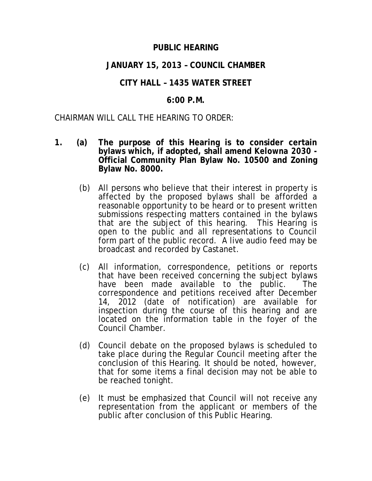## **PUBLIC HEARING**

## **JANUARY 15, 2013 – COUNCIL CHAMBER**

# **CITY HALL – 1435 WATER STREET**

## **6:00 P.M.**

### CHAIRMAN WILL CALL THE HEARING TO ORDER:

- **1. (a) The purpose of this Hearing is to consider certain bylaws which, if adopted, shall amend** *Kelowna 2030* **- Official Community Plan Bylaw No. 10500 and Zoning Bylaw No. 8000.**
	- (b) All persons who believe that their interest in property is affected by the proposed bylaws shall be afforded a reasonable opportunity to be heard or to present written submissions respecting matters contained in the bylaws that are the subject of this hearing. This Hearing is open to the public and all representations to Council form part of the public record. A live audio feed may be broadcast and recorded by Castanet.
	- (c) All information, correspondence, petitions or reports that have been received concerning the subject bylaws have been made available to the public. The correspondence and petitions received after December 14, 2012 (date of notification) are available for inspection during the course of this hearing and are located on the information table in the foyer of the Council Chamber.
	- (d) Council debate on the proposed bylaws is scheduled to take place during the Regular Council meeting after the conclusion of this Hearing. It should be noted, however, that for some items a final decision may not be able to be reached tonight.
	- (e) It must be emphasized that Council will not receive any representation from the applicant or members of the public after conclusion of this Public Hearing.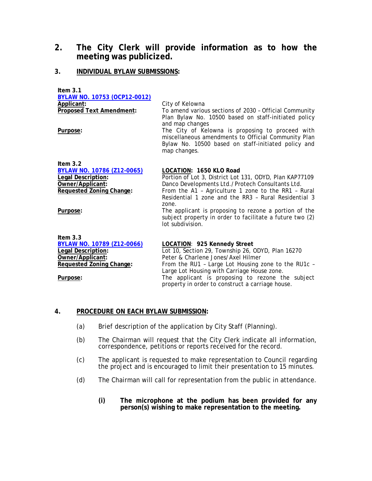## **2. The City Clerk will provide information as to how the meeting was publicized.**

### **3. INDIVIDUAL BYLAW SUBMISSIONS:**

**Item 3.1 BYLAW NO. 10753 (OCP12-0012) Applicant:** City of Kelowna<br> **Proposed Text Amendment:** To amend variou To amend various sections of 2030 - Official Community Plan Bylaw No. 10500 based on staff-initiated policy and map changes Purpose: The City of Kelowna is proposing to proceed with miscellaneous amendments to Official Community Plan Bylaw No. 10500 based on staff-initiated policy and map changes. **Item 3.2 BYLAW NO. 10786 (Z12-0065) LOCATION: 1650 KLO Road**

| DILAW NU. 10700 (LTZ-0000) | LUUATIUN. TOJU NLU RUJU                                                                                                               |
|----------------------------|---------------------------------------------------------------------------------------------------------------------------------------|
| Legal Description:         | Portion of Lot 3, District Lot 131, ODYD, Plan KAP77109                                                                               |
| Owner/Applicant:           | Danco Developments Ltd./Protech Consultants Ltd.                                                                                      |
| Requested Zoning Change:   | From the A1 - Agriculture 1 zone to the RR1 - Rural                                                                                   |
|                            | Residential 1 zone and the RR3 - Rural Residential 3                                                                                  |
|                            | zone.                                                                                                                                 |
| Purpose:                   | The applicant is proposing to rezone a portion of the<br>subject property in order to facilitate a future two (2)<br>lot subdivision. |
|                            |                                                                                                                                       |
| Item $3.3$                 |                                                                                                                                       |

| BYLAW NO. 10789 (Z12-0066)      | LOCATION: 925 Kennedy Street                        |
|---------------------------------|-----------------------------------------------------|
| Legal Description:              | Lot 10, Section 29, Township 26, ODYD, Plan 16270   |
| Owner/Applicant:                | Peter & Charlene Jones/Axel Hilmer                  |
| <b>Requested Zoning Change:</b> | From the RU1 - Large Lot Housing zone to the RU1c - |
| Purpose:                        | Large Lot Housing with Carriage House zone.         |
|                                 | The applicant is proposing to rezone the subject    |
|                                 | property in order to construct a carriage house.    |

#### **4. PROCEDURE ON EACH BYLAW SUBMISSION:**

- (a) Brief description of the application by City Staff (Planning).
- (b) The Chairman will request that the City Clerk indicate all information, correspondence, petitions or reports received for the record.
- (c) The applicant is requested to make representation to Council regarding the project and is encouraged to limit their presentation to 15 minutes.
- (d) The Chairman will call for representation from the public in attendance.
	- **(i) The microphone at the podium has been provided for any person(s) wishing to make representation to the meeting.**